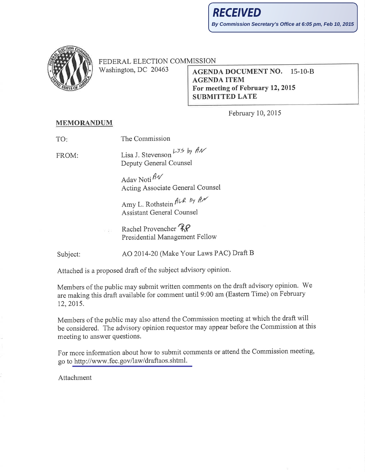

FEDERAL ELECTION COMMISSION

Washington, DC 20463

## **AGENDA DOCUMENT NO.**  $15-10-B$ **AGENDA ITEM** For meeting of February 12, 2015 **SUBMITTED LATE**

February 10, 2015

## **MEMORANDUM**

The Commission TO:

FROM:

Lisa J. Stevenson  $L_{J5}$  by  $A W$ Deputy General Counsel

Adav Noti $\mathcal{HV}$ **Acting Associate General Counsel** 

Amy L. Rothstein ALR by AN **Assistant General Counsel** 

Rachel Provencher RP Presidential Management Fellow

Subject:

AO 2014-20 (Make Your Laws PAC) Draft B

Attached is a proposed draft of the subject advisory opinion.

Members of the public may submit written comments on the draft advisory opinion. We are making this draft available for comment until 9:00 am (Eastern Time) on February 12, 2015.

Members of the public may also attend the Commission meeting at which the draft will be considered. The advisory opinion requestor may appear before the Commission at this meeting to answer questions.

For more information about how to submit comments or attend the Commission meeting, go to http://www.fec.gov/law/draftaos.shtml.

Attachment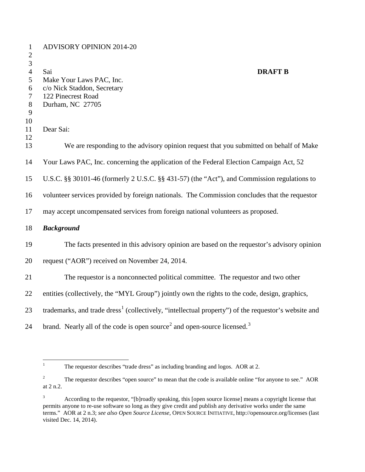| $\mathbf{1}$<br>$\overline{2}$   | <b>ADVISORY OPINION 2014-20</b>                                                                                 |
|----------------------------------|-----------------------------------------------------------------------------------------------------------------|
| $\mathfrak{Z}$<br>$\overline{4}$ | Sai<br><b>DRAFT B</b>                                                                                           |
| 5                                | Make Your Laws PAC, Inc.                                                                                        |
| 6                                | c/o Nick Staddon, Secretary                                                                                     |
| 7                                | 122 Pinecrest Road                                                                                              |
| $8\,$                            | Durham, NC 27705                                                                                                |
| 9                                |                                                                                                                 |
| 10                               |                                                                                                                 |
| 11<br>12                         | Dear Sai:                                                                                                       |
| 13                               | We are responding to the advisory opinion request that you submitted on behalf of Make                          |
| 14                               | Your Laws PAC, Inc. concerning the application of the Federal Election Campaign Act, 52                         |
| 15                               | U.S.C. §§ 30101-46 (formerly 2 U.S.C. §§ 431-57) (the "Act"), and Commission regulations to                     |
| 16                               | volunteer services provided by foreign nationals. The Commission concludes that the requestor                   |
| 17                               | may accept uncompensated services from foreign national volunteers as proposed.                                 |
| 18                               | <b>Background</b>                                                                                               |
| 19                               | The facts presented in this advisory opinion are based on the requestor's advisory opinion                      |
| 20                               | request ("AOR") received on November 24, 2014.                                                                  |
| 21                               | The requestor is a nonconnected political committee. The requestor and two other                                |
| 22                               | entities (collectively, the "MYL Group") jointly own the rights to the code, design, graphics,                  |
| 23                               | trademarks, and trade dress <sup>1</sup> (collectively, "intellectual property") of the requestor's website and |
| 24                               | brand. Nearly all of the code is open source <sup>2</sup> and open-source licensed. <sup>3</sup>                |

<span id="page-1-0"></span><sup>&</sup>lt;sup>1</sup> The requestor describes "trade dress" as including branding and logos. AOR at 2.

<span id="page-1-1"></span><sup>&</sup>lt;sup>2</sup> The requestor describes "open source" to mean that the code is available online "for anyone to see." AOR at 2 n.2.

<span id="page-1-2"></span> According to the requestor, "[b]roadly speaking, this [open source license] means a copyright license that permits anyone to re-use software so long as they give credit and publish any derivative works under the same terms." AOR at 2 n.3; *see also Open Source License*, OPEN SOURCE INITIATIVE, http://opensource.org/licenses (last visited Dec. 14, 2014).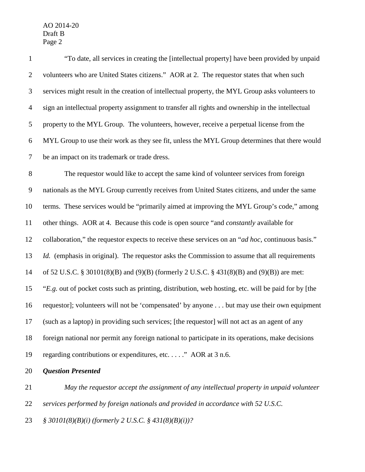| $\mathbf{1}$   | "To date, all services in creating the [intellectual property] have been provided by unpaid          |
|----------------|------------------------------------------------------------------------------------------------------|
| $\overline{2}$ | volunteers who are United States citizens." AOR at 2. The requestor states that when such            |
| 3              | services might result in the creation of intellectual property, the MYL Group asks volunteers to     |
| $\overline{4}$ | sign an intellectual property assignment to transfer all rights and ownership in the intellectual    |
| $\mathfrak{S}$ | property to the MYL Group. The volunteers, however, receive a perpetual license from the             |
| 6              | MYL Group to use their work as they see fit, unless the MYL Group determines that there would        |
| $\tau$         | be an impact on its trademark or trade dress.                                                        |
| $8\,$          | The requestor would like to accept the same kind of volunteer services from foreign                  |
| $\overline{9}$ | nationals as the MYL Group currently receives from United States citizens, and under the same        |
| 10             | terms. These services would be "primarily aimed at improving the MYL Group's code," among            |
| 11             | other things. AOR at 4. Because this code is open source "and <i>constantly</i> available for        |
| 12             | collaboration," the requestor expects to receive these services on an "ad hoc, continuous basis."    |
| 13             | Id. (emphasis in original). The requestor asks the Commission to assume that all requirements        |
| 14             | of 52 U.S.C. § 30101(8)(B) and (9)(B) (formerly 2 U.S.C. § 431(8)(B) and (9)(B)) are met:            |
| 15             | "E.g. out of pocket costs such as printing, distribution, web hosting, etc. will be paid for by [the |
| 16             | requestor]; volunteers will not be 'compensated' by anyone but may use their own equipment           |
| 17             | (such as a laptop) in providing such services; [the requestor] will not act as an agent of any       |
| 18             | foreign national nor permit any foreign national to participate in its operations, make decisions    |
| 19             | regarding contributions or expenditures, etc" AOR at 3 n.6.                                          |
| 20             | <b>Question Presented</b>                                                                            |
|                |                                                                                                      |

 *May the requestor accept the assignment of any intellectual property in unpaid volunteer services performed by foreign nationals and provided in accordance with 52 U.S.C. § 30101(8)(B)(i) (formerly 2 U.S.C. § 431(8)(B)(i))?*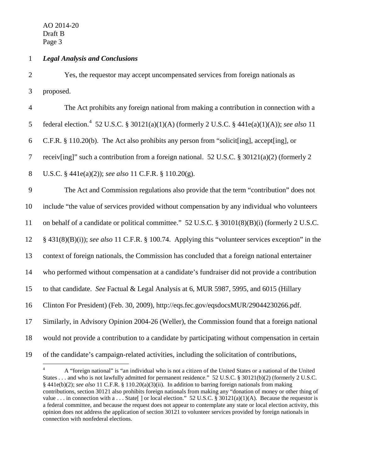## 1 *Legal Analysis and Conclusions*

2 Yes, the requestor may accept uncompensated services from foreign nationals as 3 proposed.

 The Act prohibits any foreign national from making a contribution in connection with a 5 federal election.<sup>[4](#page-3-0)</sup> 52 U.S.C. § 30121(a)(1)(A) (formerly 2 U.S.C. § 441e(a)(1)(A)); *see also* 11 C.F.R. § 110.20(b). The Act also prohibits any person from "solicit[ing], accept[ing], or receiv[ing]" such a contribution from a foreign national. 52 U.S.C. § 30121(a)(2) (formerly 2 U.S.C. § 441e(a)(2)); *see also* 11 C.F.R. § 110.20(g). The Act and Commission regulations also provide that the term "contribution" does not include "the value of services provided without compensation by any individual who volunteers on behalf of a candidate or political committee." 52 U.S.C. § 30101(8)(B)(i) (formerly 2 U.S.C. § 431(8)(B)(i)); *see also* 11 C.F.R. § 100.74. Applying this "volunteer services exception" in the context of foreign nationals, the Commission has concluded that a foreign national entertainer who performed without compensation at a candidate's fundraiser did not provide a contribution to that candidate. *See* Factual & Legal Analysis at 6, MUR 5987, 5995, and 6015 (Hillary Clinton For President) (Feb. 30, 2009), http://eqs.fec.gov/eqsdocsMUR/29044230266.pdf. Similarly, in Advisory Opinion 2004-26 (Weller), the Commission found that a foreign national would not provide a contribution to a candidate by participating without compensation in certain of the candidate's campaign-related activities, including the solicitation of contributions,

<span id="page-3-0"></span><sup>&</sup>lt;sup>4</sup> A "foreign national" is "an individual who is not a citizen of the United States or a national of the United States . . . and who is not lawfully admitted for permanent residence." 52 U.S.C. § 30121(b)(2) (formerly 2 U.S.C. § 441e(b)(2); *see also* 11 C.F.R. § 110.20(a)(3)(ii). In addition to barring foreign nationals from making contributions, section 30121 also prohibits foreign nationals from making any "donation of money or other thing of value . . . in connection with a . . . State  $\lceil \cdot \rceil$  or local election." 52 U.S.C. § 30121(a)(1)(A). Because the requestor is a federal committee, and because the request does not appear to contemplate any state or local election activity, this opinion does not address the application of section 30121 to volunteer services provided by foreign nationals in connection with nonfederal elections.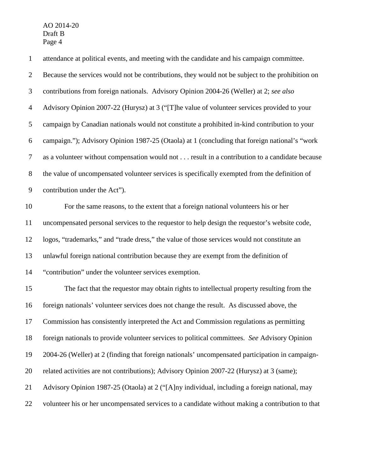| $\mathbf{1}$     | attendance at political events, and meeting with the candidate and his campaign committee.       |
|------------------|--------------------------------------------------------------------------------------------------|
| $\overline{2}$   | Because the services would not be contributions, they would not be subject to the prohibition on |
| 3                | contributions from foreign nationals. Advisory Opinion 2004-26 (Weller) at 2; see also           |
| $\overline{4}$   | Advisory Opinion 2007-22 (Hurysz) at 3 ("[T]he value of volunteer services provided to your      |
| 5                | campaign by Canadian nationals would not constitute a prohibited in-kind contribution to your    |
| 6                | campaign."); Advisory Opinion 1987-25 (Otaola) at 1 (concluding that foreign national's "work    |
| $\boldsymbol{7}$ | as a volunteer without compensation would not result in a contribution to a candidate because    |
| $8\,$            | the value of uncompensated volunteer services is specifically exempted from the definition of    |
| $\overline{9}$   | contribution under the Act").                                                                    |
| 10               | For the same reasons, to the extent that a foreign national volunteers his or her                |
| 11               | uncompensated personal services to the requestor to help design the requestor's website code,    |
| 12               | logos, "trademarks," and "trade dress," the value of those services would not constitute an      |
| 13               | unlawful foreign national contribution because they are exempt from the definition of            |
| 14               | "contribution" under the volunteer services exemption.                                           |
| 15               | The fact that the requestor may obtain rights to intellectual property resulting from the        |
| 16               | foreign nationals' volunteer services does not change the result. As discussed above, the        |
| 17               | Commission has consistently interpreted the Act and Commission regulations as permitting         |
| 18               | foreign nationals to provide volunteer services to political committees. See Advisory Opinion    |
| 19               | 2004-26 (Weller) at 2 (finding that foreign nationals' uncompensated participation in campaign-  |
| 20               | related activities are not contributions); Advisory Opinion 2007-22 (Hurysz) at 3 (same);        |
| 21               | Advisory Opinion 1987-25 (Otaola) at 2 ("[A]ny individual, including a foreign national, may     |
| 22               | volunteer his or her uncompensated services to a candidate without making a contribution to that |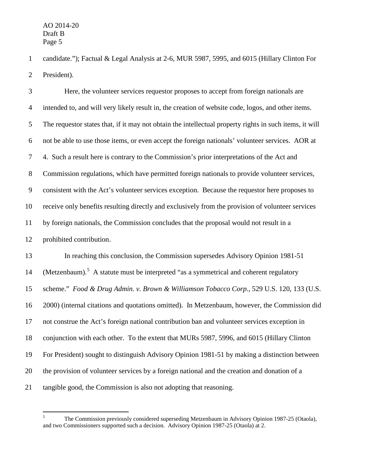candidate."); Factual & Legal Analysis at 2-6, MUR 5987, 5995, and 6015 (Hillary Clinton For President).

 Here, the volunteer services requestor proposes to accept from foreign nationals are intended to, and will very likely result in, the creation of website code, logos, and other items. The requestor states that, if it may not obtain the intellectual property rights in such items, it will not be able to use those items, or even accept the foreign nationals' volunteer services. AOR at 4. Such a result here is contrary to the Commission's prior interpretations of the Act and Commission regulations, which have permitted foreign nationals to provide volunteer services, consistent with the Act's volunteer services exception. Because the requestor here proposes to receive only benefits resulting directly and exclusively from the provision of volunteer services by foreign nationals, the Commission concludes that the proposal would not result in a prohibited contribution. In reaching this conclusion, the Commission supersedes Advisory Opinion 1981-51 14 (Metzenbaum).<sup>[5](#page-5-0)</sup> A statute must be interpreted "as a symmetrical and coherent regulatory scheme." *Food & Drug Admin. v. Brown & Williamson Tobacco Corp.*, 529 U.S. 120, 133 (U.S.

2000) (internal citations and quotations omitted). In Metzenbaum, however, the Commission did

not construe the Act's foreign national contribution ban and volunteer services exception in

conjunction with each other. To the extent that MURs 5987, 5996, and 6015 (Hillary Clinton

For President) sought to distinguish Advisory Opinion 1981-51 by making a distinction between

the provision of volunteer services by a foreign national and the creation and donation of a

<span id="page-5-0"></span>tangible good, the Commission is also not adopting that reasoning.

 The Commission previously considered superseding Metzenbaum in Advisory Opinion 1987-25 (Otaola), and two Commissioners supported such a decision. Advisory Opinion 1987-25 (Otaola) at 2.